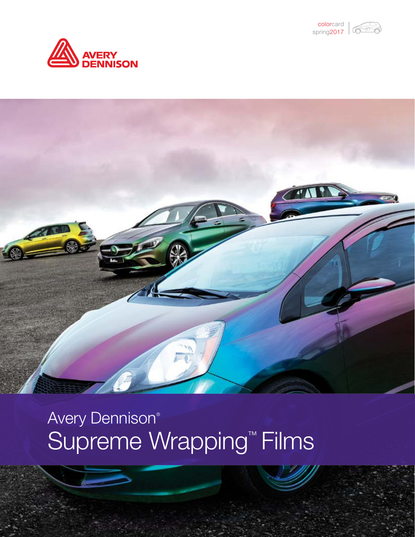





# Avery Dennison® Supreme Wrapping<sup>™</sup> Films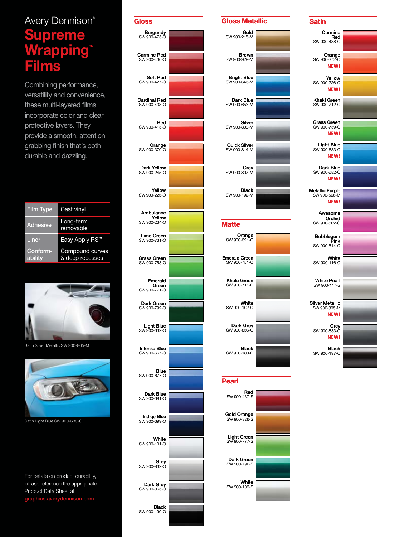# Avery Dennison ® Supreme rapping Films

Combining performance, versatility and convenience, these multi-layered films incorporate color and clear protective layers. They provide a smooth, attention grabbing finish that's both durable and dazzling.

| <b>Film Type</b>    | Cast vinyl                         |
|---------------------|------------------------------------|
| <b>Adhesive</b>     | Long-term<br>removable             |
| Liner               | Easy Apply RS <sup>™</sup>         |
| Conform-<br>ability | Compound curves<br>& deep recesses |



Satin Silver Metallic SW 900-805-M



Satin Light Blue SW 900-633-O

For details on product durability, please reference the appropriate Product Data Sheet at ics.averydennison.com





#### Satin

| Carmine                                               |  |
|-------------------------------------------------------|--|
| Red<br>SW 900-438-O                                   |  |
| Orange<br>SW 900-372-O<br>NEW!                        |  |
| Yellow                                                |  |
| SW 900-226-O<br>NEW!                                  |  |
| Khaki Green<br>SW 900-712-O                           |  |
| <b>Grass Green</b><br>SW 900-759-O<br><b>NEW!</b>     |  |
| Light Blue<br>SW 900-633-O<br><b>NEW!</b>             |  |
| Dark Blue<br>SW 900-682-O<br>NEW!                     |  |
| <b>Metallic Purple</b><br>SW 900-566-M<br><b>NEW!</b> |  |
| Awesome<br>Orchid<br>SW 900-502-O                     |  |
| Bubblegum<br>Pink<br>SW 900-514-O                     |  |
| White<br>SW 900-116-O                                 |  |
| <b>White Pearl</b><br>SW 900-117-S                    |  |
| <b>Silver Metallic</b><br>SW 900-805-M<br>NEW!        |  |
| Grey<br>SW 900-833-O<br>NEW!                          |  |
| <b>Black</b><br>SW 900-197-O                          |  |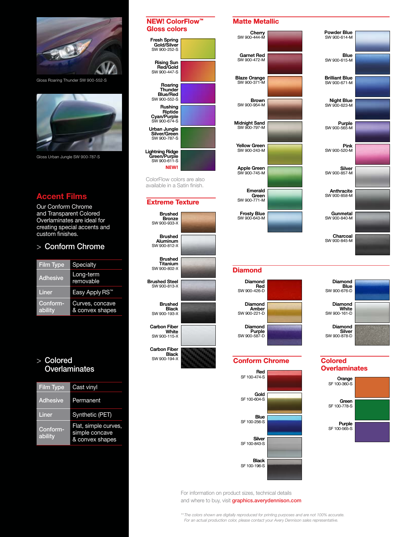

Gloss Roaring Thunder SW 900-552-S



Gloss Urban Jungle SW 900-787-S

# Accent Films

Our Conform Chrome and Transparent Colored Overlaminates are ideal for creating special accents and custom finishes.

# > Conform Chrome

| <b>Film Type</b>    | Specialty                          |
|---------------------|------------------------------------|
| <b>Adhesive</b>     | Long-term<br>removable             |
| Liner               | Easy Apply RS™                     |
| Conform-<br>ability | Curves, concave<br>& convex shapes |

## > Colored **Overlaminates**

| <b>Film Type</b>    | Cast vinyl                                                |
|---------------------|-----------------------------------------------------------|
| <b>Adhesive</b>     | Permanent                                                 |
| Liner               | Synthetic (PET)                                           |
| Conform-<br>ability | Flat, simple curves,<br>simple concave<br>& convex shapes |

## NEW! ColorFlow™ Gloss colors

| <b>Fresh Spring</b><br>Gold/Silver<br>SW 900-252-S             |  |
|----------------------------------------------------------------|--|
| <b>Rising Sun</b><br>Red/Gold<br>SW 900-447-S                  |  |
| Roaring<br>Thunder<br><b>Blue/Red</b><br>SW 900-552-S          |  |
| Rushing<br>Riptide<br>Cyan/Purple<br>SW 900-674-S              |  |
| Urban Jungle<br>Silver/Green<br>SW 900-787-S                   |  |
| Lightning Ridge<br>Green/Purple<br>SW 900-611-S<br><b>NFW!</b> |  |

ColorFlow colors are also available in a Satin finish.

#### Extreme Texture

| Brushed<br><b>Bronze</b><br>SW 900-933-X   |  |
|--------------------------------------------|--|
| Brushed<br><b>Aluminum</b><br>SW 900-812-X |  |
| Brushed<br>Titanium<br>SW 900-802-X        |  |
| Brushed Steel<br>SW 900-813-X              |  |
| Brushed<br>Black<br>SW 900-193-X           |  |
| <b>Carbon Fiber</b><br>White               |  |
| SW 900-115-X                               |  |
| Carbon Fiber<br>Black                      |  |
| SW 900-194-X                               |  |

#### Matte Metallic





Diamond **Blue** SW 900-676-D

Diamond **White**<br>SW 900-161-D

Diamond Silver SW 900-878-D

**Overlaminates** 

Orange SF 100-360-S

Green SF 100-778-S

**Purple**<br>SF 100-565-S

#### Diamond



#### Conform Chrome Colored



#### For information on product sizes, technical details and where to buy, visit [graphics.averydennison.com](http://graphics.averydennison.com/?utm_source=2017%20SWF%20ColorCard%20PDF&utm_medium=brochure&utm_campaign=2017SWFCCPDF&utm_content=apr2017SWFCCPDF)

*\*\*The colors shown are digitally reproduced for printing purposes and are not 100% accurate. For an actual production color, please contact your Avery Dennison sales representative.*